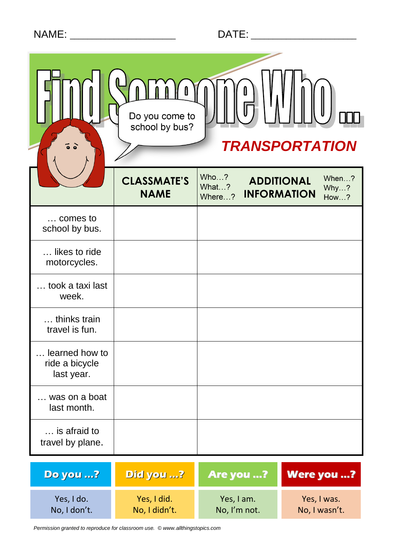|  | <b>NAME</b> |  |
|--|-------------|--|
|  |             |  |

|                                                | Do you come to<br>school by bus?<br><b>TRANSPORTATION</b> |                         |                                         |                       |  |
|------------------------------------------------|-----------------------------------------------------------|-------------------------|-----------------------------------------|-----------------------|--|
|                                                | <b>CLASSMATE'S</b><br><b>NAME</b>                         | Who?<br>What?<br>Where? | <b>ADDITIONAL</b><br><b>INFORMATION</b> | When?<br>Why?<br>How? |  |
| comes to<br>school by bus.                     |                                                           |                         |                                         |                       |  |
| likes to ride<br>motorcycles.                  |                                                           |                         |                                         |                       |  |
| took a taxi last<br>week.                      |                                                           |                         |                                         |                       |  |
| thinks train<br>travel is fun.                 |                                                           |                         |                                         |                       |  |
| learned how to<br>ride a bicycle<br>last year. |                                                           |                         |                                         |                       |  |
| was on a boat<br>last month.                   |                                                           |                         |                                         |                       |  |
| is afraid to<br>travel by plane.               |                                                           |                         |                                         |                       |  |

| <b>Do you ?</b> | Did you ?     | <b>Are you ?</b> | <b>Were you ?</b> |
|-----------------|---------------|------------------|-------------------|
| Yes, I do.      | Yes, I did.   | Yes, I am.       | Yes, I was.       |
| No, I don't.    | No, I didn't. | No, I'm not.     | No, I wasn't.     |

*Permission granted to reproduce for classroom use. © www.allthingstopics.com*